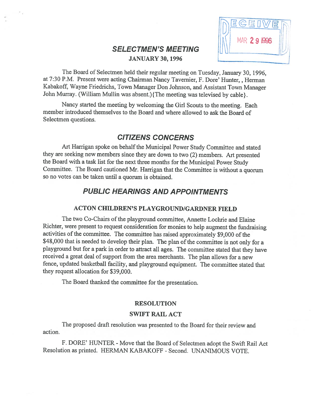# SELECTMEN'S MEETING JANUARY 30, 1996



The Board of Selectmen held their regular meeting on Tuesday, January 30, 1996, at 7:30 P.M. Present were acting Chairman Nancy Tavemier, F. Dore' Hunter, , Herman Kabakoff, Wayne Friedrichs, Town Manager Don Johnson, and Assistant Town Manager John Murray. (William Mullin was absent.){The meeting was televised by cable}.

Nancy started the meeting by welcoming the Girl Scouts to the meeting. Each member introduced themselves to the Board and where allowed to ask the Board of Selectmen questions.

# CITIZENS CONCERNS

Art Harrigan spoke on behalf the Municipal Power Study Committee and stated they are seeking new members since they are down to two (2) members. Art presented the Board with <sup>a</sup> task list for the next three months for the Municipal Power Study Committee. The Board cautioned Mr. Harrigan that the Committee is without <sup>a</sup> quorum so no votes can be taken until <sup>a</sup> quorum is obtained.

# PUBLIC HEARINGS AND APPOINTMENTS

## ACTON CHILDREN'S PLAYGROUND/GARDNER FIELD

The two Co-Chairs of the playground committee, Annette Lochrie and Elaine Richter, were present to request consideration for monies to help augment the fundraising activities of the committee. The committee has raised approximately \$9,000 of the \$48,000 that is needed to develop their plan. The plan of the committee is not only for a <sup>p</sup>layground but for <sup>a</sup> par<sup>k</sup> in order to attract all ages. The committee stated that they have received a great deal of support from the area merchants. The plan allows for a new fence, updated basketball facility, and <sup>p</sup>layground equipment. The committee stated that they request allocation for \$39,000.

The Board thanked the committee for the presentation.

### RESOLUTION

### SWIFT RAIL ACT

The proposed draft resolution was presented to the Board for their review and action.

F. DORE' HUNTER - Move that the Board of Selectmen adopt the Swift Rail Act Resolution as printed. HERMAN KABAKOFF -Second. UNANIMOUS VOTE.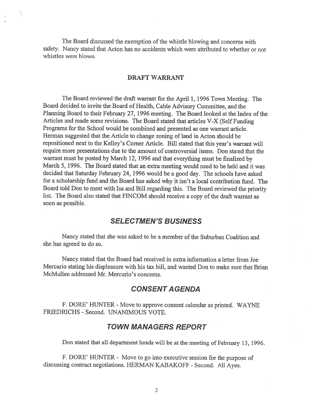The Board discussed the exemption of the whistle blowing and concerns with safety. Nancy stated that Acton has no accidents which were attributed to whether or not whistles were blown.

## DRAFT WARRANT

The Board reviewed the draft warrant for the April 1, 1996 Town Meeting. The Board decided to invite the Board of Health, Cable Advisory Committee, and the Planning Board to their February 27, 1996 meeting. The Board looked at the Index of the Articles and made some revisions. The Board stated that articles V-X (Self funding Programs for the School would be combined and presented as one warrant article. Herman suggested that the Article to change zoning of land in Acton should be repositioned next to the Kelley's Corner Article. Bill stated that this year's warrant will require more presentations due to the amount of controversial items. Don stated that the warrant must be posted by March 12, <sup>1996</sup> and that everything must be finalized by March 5, 1996. The Board stated that an extra meeting would need to be held and it was decided that Saturday February 24, <sup>1996</sup> would be <sup>a</sup> goo<sup>d</sup> day. The schools have asked for <sup>a</sup> scholarship fund and the Board has asked why it isn't <sup>a</sup> local contribution fund. The Board told Don to meet with Isa and Bill regarding this. The Board reviewed the priority list. The Board also stated that FINCOM should receive a copy of the draft warrant as soon as possible.

# SELECTMEN'S BUSINESS

Nancy stated that she was asked to be <sup>a</sup> member of the Suburban Coalition and she has agreed to do so.

Nancy stated that the Board had received in extra information <sup>a</sup> letter from Joe Mercurio stating his displeasure with his tax bill, and wanted Don to make sure that Brian McMullen addressed Mr. Mercurio's concerns.

# CONSENT AGENDA

F. DORE' HUNTER - Move to approve consent calendar as printed. WAYNE FRIEDRICHS - Second. UNANIMOUS VOTE.

# TOWN MANAGERS REPORT

Don stated that all department heads will be at the meeting of February 13, 1996.

F. DORE' HUNTER - Move to go into executive session for the purpose of discussing contract negotiations. HERMAN KABAKOFF - Second. All Ayes.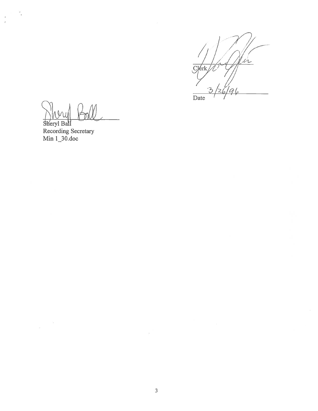$\mu$  $C$  erk $\mathbb{Z}$ Date

Sheryl Ball Recording Secretary<br>Min 1\_30.doc

 $\ddot{\phantom{a}}$ 

 $\ddot{\tilde{z}}$ 

 $\overline{\mathcal{C}}$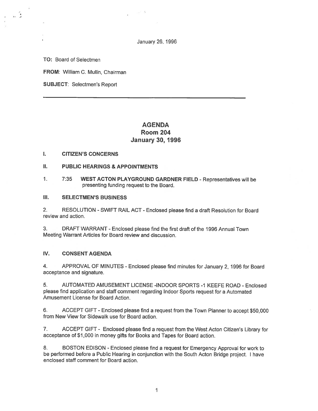January 26, 1996

TO: Board of Selectmen

u G

FROM: William C. Mullin, Chairman

SUBJECT: Selectmen's Report

# AGENDA Room 204 January 30, 1996

#### I. CITIZEN'S CONCERNS

- II. PUBLIC HEARINGS & APPOINTMENTS
- 1. 7:35 WEST ACTON PLAYGROUND GARDNER FIELD Representatives will be presenting funding reques<sup>t</sup> to the Board.

### III. SELECTMEN'S BUSINESS

2. RESOLUTION -SWIFT RAIL ACT -Enclosed <sup>p</sup>lease find <sup>a</sup> draft Resolution for Board review and action.

3. DRAFT WARRANT -Enclosed please find the first draft of the 1996 Annual Town Meeting Warrant Articles for Board review and discussion.

#### IV. CONSENT AGENDA

4. APPROVAL OF MINUTES - Enclosed <sup>p</sup>lease find minutes for January 2, <sup>1996</sup> for Board acceptance and signature.

5. AUTOMATED AMUSEMENT LICENSE -INDOOR SPORTS -1 KEEFE ROAD - Enclosed <sup>p</sup>lease find application and staff comment regarding Indoor Sports reques<sup>t</sup> for <sup>a</sup> Automated Amusement License for Board Action.

6. ACCEPT GIFT - Enclosed <sup>p</sup>lease find <sup>a</sup> reques<sup>t</sup> from the Town Planner to accep<sup>t</sup> \$50,000 from New View for Sidewalk use for Board action.

7. ACCEPT GIFT - Enclosed <sup>p</sup>lease find <sup>a</sup> reques<sup>t</sup> from the West Acton Citizen's Library for acceptance of \$1,000 in money gifts for Books and Tapes for Board action.

8. BOSTON EDISON -Enclosed <sup>p</sup>lease find <sup>a</sup> reques<sup>t</sup> for Emergency Approval for work to be performed before <sup>a</sup> Public Hearing in conjunction with the South Acton Bridge project. <sup>I</sup> have enclosed staff comment for Board action.